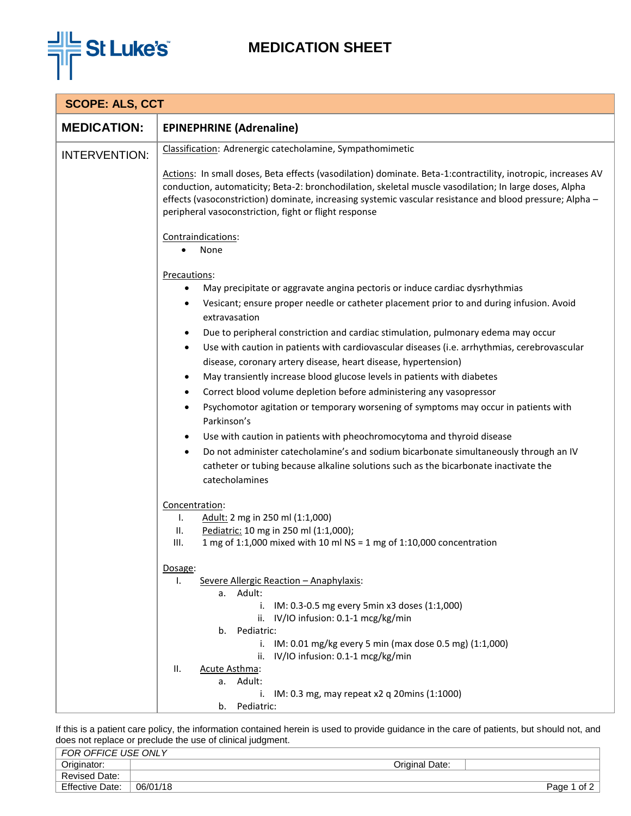

## **MEDICATION SHEET**

| <b>SCOPE: ALS, CCT</b> |                                                                                                                                                                                                                                                                                                                                                                                                                                                                                                                                                                                                                                                                                                                                                                                                                                                                                                                                                                                                                                                                                                                   |  |
|------------------------|-------------------------------------------------------------------------------------------------------------------------------------------------------------------------------------------------------------------------------------------------------------------------------------------------------------------------------------------------------------------------------------------------------------------------------------------------------------------------------------------------------------------------------------------------------------------------------------------------------------------------------------------------------------------------------------------------------------------------------------------------------------------------------------------------------------------------------------------------------------------------------------------------------------------------------------------------------------------------------------------------------------------------------------------------------------------------------------------------------------------|--|
| <b>MEDICATION:</b>     | <b>EPINEPHRINE (Adrenaline)</b>                                                                                                                                                                                                                                                                                                                                                                                                                                                                                                                                                                                                                                                                                                                                                                                                                                                                                                                                                                                                                                                                                   |  |
| <b>INTERVENTION:</b>   | Classification: Adrenergic catecholamine, Sympathomimetic                                                                                                                                                                                                                                                                                                                                                                                                                                                                                                                                                                                                                                                                                                                                                                                                                                                                                                                                                                                                                                                         |  |
|                        | Actions: In small doses, Beta effects (vasodilation) dominate. Beta-1:contractility, inotropic, increases AV<br>conduction, automaticity; Beta-2: bronchodilation, skeletal muscle vasodilation; In large doses, Alpha<br>effects (vasoconstriction) dominate, increasing systemic vascular resistance and blood pressure; Alpha -<br>peripheral vasoconstriction, fight or flight response                                                                                                                                                                                                                                                                                                                                                                                                                                                                                                                                                                                                                                                                                                                       |  |
|                        | Contraindications:<br>None                                                                                                                                                                                                                                                                                                                                                                                                                                                                                                                                                                                                                                                                                                                                                                                                                                                                                                                                                                                                                                                                                        |  |
|                        | Precautions:<br>May precipitate or aggravate angina pectoris or induce cardiac dysrhythmias<br>$\bullet$<br>Vesicant; ensure proper needle or catheter placement prior to and during infusion. Avoid<br>٠<br>extravasation<br>Due to peripheral constriction and cardiac stimulation, pulmonary edema may occur<br>$\bullet$<br>Use with caution in patients with cardiovascular diseases (i.e. arrhythmias, cerebrovascular<br>$\bullet$<br>disease, coronary artery disease, heart disease, hypertension)<br>May transiently increase blood glucose levels in patients with diabetes<br>$\bullet$<br>Correct blood volume depletion before administering any vasopressor<br>$\bullet$<br>Psychomotor agitation or temporary worsening of symptoms may occur in patients with<br>$\bullet$<br>Parkinson's<br>Use with caution in patients with pheochromocytoma and thyroid disease<br>$\bullet$<br>Do not administer catecholamine's and sodium bicarbonate simultaneously through an IV<br>$\bullet$<br>catheter or tubing because alkaline solutions such as the bicarbonate inactivate the<br>catecholamines |  |
|                        | Concentration:<br>Adult: 2 mg in 250 ml (1:1,000)<br>Τ.<br>II.<br>Pediatric: 10 mg in 250 ml (1:1,000);<br>1 mg of 1:1,000 mixed with 10 ml NS = 1 mg of 1:10,000 concentration<br>III.<br>Dosage:<br>Severe Allergic Reaction - Anaphylaxis:<br>ı.<br>a. Adult:<br>i. IM: 0.3-0.5 mg every 5min x3 doses (1:1,000)<br>ii. IV/IO infusion: 0.1-1 mcg/kg/min<br>b. Pediatric:<br>i. IM: 0.01 mg/kg every 5 min (max dose 0.5 mg) (1:1,000)<br>IV/IO infusion: 0.1-1 mcg/kg/min<br>ii.                                                                                                                                                                                                                                                                                                                                                                                                                                                                                                                                                                                                                              |  |
|                        | II.<br>Acute Asthma:<br>a. Adult:<br>IM: 0.3 mg, may repeat x2 q 20mins (1:1000)<br>i.<br>Pediatric:<br>b.                                                                                                                                                                                                                                                                                                                                                                                                                                                                                                                                                                                                                                                                                                                                                                                                                                                                                                                                                                                                        |  |

If this is a patient care policy, the information contained herein is used to provide guidance in the care of patients, but should not, and does not replace or preclude the use of clinical judgment.

| FOR OFFICE USE ONLY    |                |                |
|------------------------|----------------|----------------|
| Originator:            | Original Date: |                |
| <b>Revised Date:</b>   |                |                |
| <b>Effective Date:</b> | 06/01/18       | of 2<br>Page 1 |
|                        |                |                |